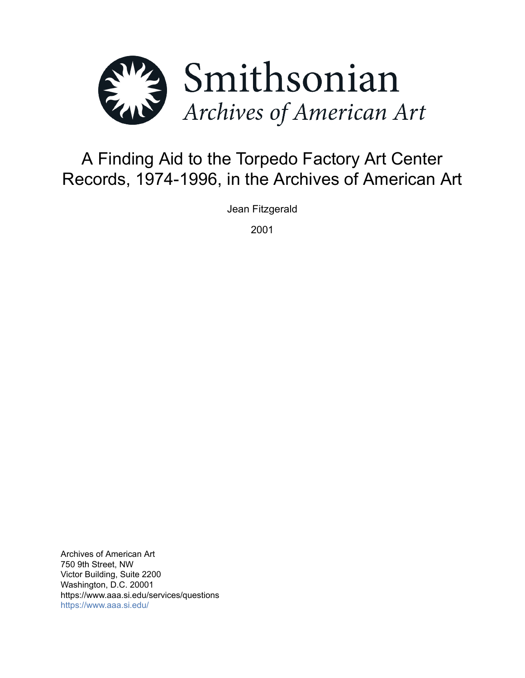

# A Finding Aid to the Torpedo Factory Art Center Records, 1974-1996, in the Archives of American Art

Jean Fitzgerald

2001

Archives of American Art 750 9th Street, NW Victor Building, Suite 2200 Washington, D.C. 20001 https://www.aaa.si.edu/services/questions <https://www.aaa.si.edu/>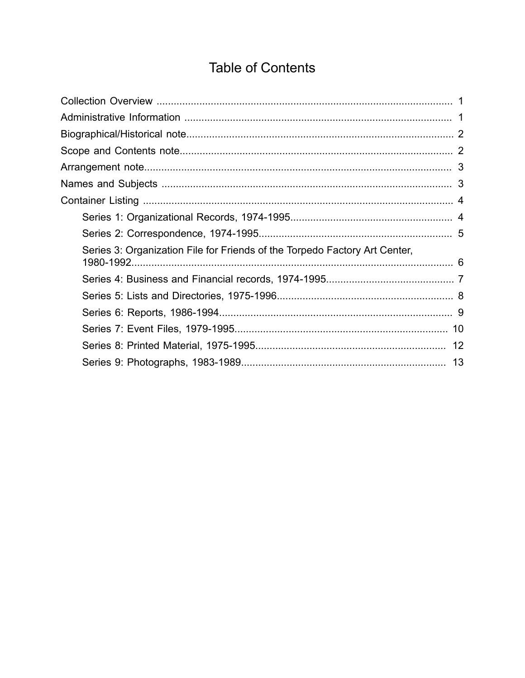# **Table of Contents**

<span id="page-1-0"></span>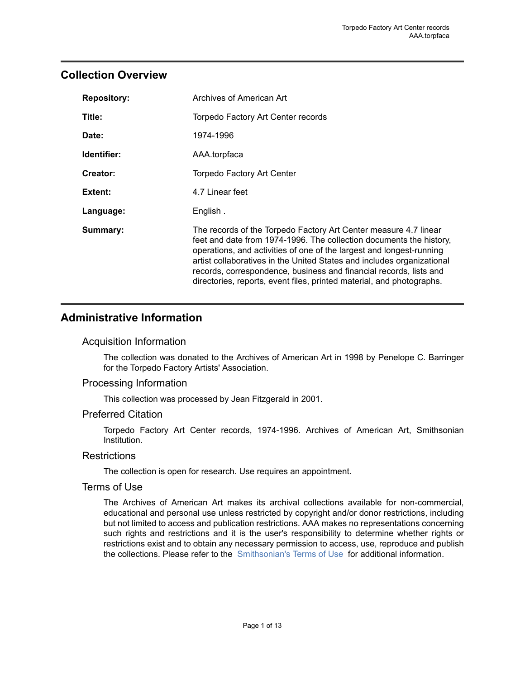# <span id="page-2-0"></span>**Collection Overview**

| <b>Repository:</b> | Archives of American Art                                                                                                                                                                                                                                                                                                                                                                                                                 |
|--------------------|------------------------------------------------------------------------------------------------------------------------------------------------------------------------------------------------------------------------------------------------------------------------------------------------------------------------------------------------------------------------------------------------------------------------------------------|
| Title:             | Torpedo Factory Art Center records                                                                                                                                                                                                                                                                                                                                                                                                       |
| Date:              | 1974-1996                                                                                                                                                                                                                                                                                                                                                                                                                                |
| Identifier:        | AAA.torpfaca                                                                                                                                                                                                                                                                                                                                                                                                                             |
| Creator:           | Torpedo Factory Art Center                                                                                                                                                                                                                                                                                                                                                                                                               |
| Extent:            | 4.7 Linear feet                                                                                                                                                                                                                                                                                                                                                                                                                          |
| Language:          | English.                                                                                                                                                                                                                                                                                                                                                                                                                                 |
| Summary:           | The records of the Torpedo Factory Art Center measure 4.7 linear<br>feet and date from 1974-1996. The collection documents the history,<br>operations, and activities of one of the largest and longest-running<br>artist collaboratives in the United States and includes organizational<br>records, correspondence, business and financial records, lists and<br>directories, reports, event files, printed material, and photographs. |

# <span id="page-2-1"></span>**Administrative Information**

#### Acquisition Information

The collection was donated to the Archives of American Art in 1998 by Penelope C. Barringer for the Torpedo Factory Artists' Association.

### Processing Information

This collection was processed by Jean Fitzgerald in 2001.

#### Preferred Citation

Torpedo Factory Art Center records, 1974-1996. Archives of American Art, Smithsonian Institution.

#### **Restrictions**

The collection is open for research. Use requires an appointment.

#### Terms of Use

The Archives of American Art makes its archival collections available for non-commercial, educational and personal use unless restricted by copyright and/or donor restrictions, including but not limited to access and publication restrictions. AAA makes no representations concerning such rights and restrictions and it is the user's responsibility to determine whether rights or restrictions exist and to obtain any necessary permission to access, use, reproduce and publish the collections. Please refer to the [Smithsonian's](https://www.si.edu/termsofuse) Terms of Use for additional information.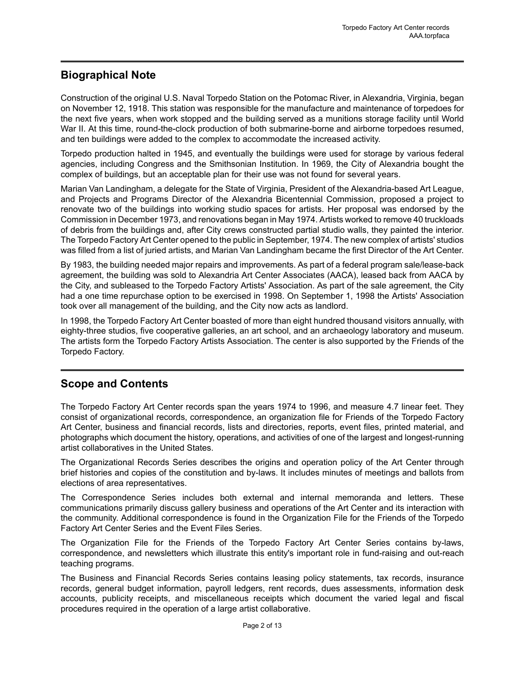# <span id="page-3-0"></span>**Biographical Note**

Construction of the original U.S. Naval Torpedo Station on the Potomac River, in Alexandria, Virginia, began on November 12, 1918. This station was responsible for the manufacture and maintenance of torpedoes for the next five years, when work stopped and the building served as a munitions storage facility until World War II. At this time, round-the-clock production of both submarine-borne and airborne torpedoes resumed, and ten buildings were added to the complex to accommodate the increased activity.

Torpedo production halted in 1945, and eventually the buildings were used for storage by various federal agencies, including Congress and the Smithsonian Institution. In 1969, the City of Alexandria bought the complex of buildings, but an acceptable plan for their use was not found for several years.

Marian Van Landingham, a delegate for the State of Virginia, President of the Alexandria-based Art League, and Projects and Programs Director of the Alexandria Bicentennial Commission, proposed a project to renovate two of the buildings into working studio spaces for artists. Her proposal was endorsed by the Commission in December 1973, and renovations began in May 1974. Artists worked to remove 40 truckloads of debris from the buildings and, after City crews constructed partial studio walls, they painted the interior. The Torpedo Factory Art Center opened to the public in September, 1974. The new complex of artists' studios was filled from a list of juried artists, and Marian Van Landingham became the first Director of the Art Center.

By 1983, the building needed major repairs and improvements. As part of a federal program sale/lease-back agreement, the building was sold to Alexandria Art Center Associates (AACA), leased back from AACA by the City, and subleased to the Torpedo Factory Artists' Association. As part of the sale agreement, the City had a one time repurchase option to be exercised in 1998. On September 1, 1998 the Artists' Association took over all management of the building, and the City now acts as landlord.

In 1998, the Torpedo Factory Art Center boasted of more than eight hundred thousand visitors annually, with eighty-three studios, five cooperative galleries, an art school, and an archaeology laboratory and museum. The artists form the Torpedo Factory Artists Association. The center is also supported by the Friends of the Torpedo Factory.

# <span id="page-3-1"></span>**Scope and Contents**

The Torpedo Factory Art Center records span the years 1974 to 1996, and measure 4.7 linear feet. They consist of organizational records, correspondence, an organization file for Friends of the Torpedo Factory Art Center, business and financial records, lists and directories, reports, event files, printed material, and photographs which document the history, operations, and activities of one of the largest and longest-running artist collaboratives in the United States.

The Organizational Records Series describes the origins and operation policy of the Art Center through brief histories and copies of the constitution and by-laws. It includes minutes of meetings and ballots from elections of area representatives.

The Correspondence Series includes both external and internal memoranda and letters. These communications primarily discuss gallery business and operations of the Art Center and its interaction with the community. Additional correspondence is found in the Organization File for the Friends of the Torpedo Factory Art Center Series and the Event Files Series.

The Organization File for the Friends of the Torpedo Factory Art Center Series contains by-laws, correspondence, and newsletters which illustrate this entity's important role in fund-raising and out-reach teaching programs.

The Business and Financial Records Series contains leasing policy statements, tax records, insurance records, general budget information, payroll ledgers, rent records, dues assessments, information desk accounts, publicity receipts, and miscellaneous receipts which document the varied legal and fiscal procedures required in the operation of a large artist collaborative.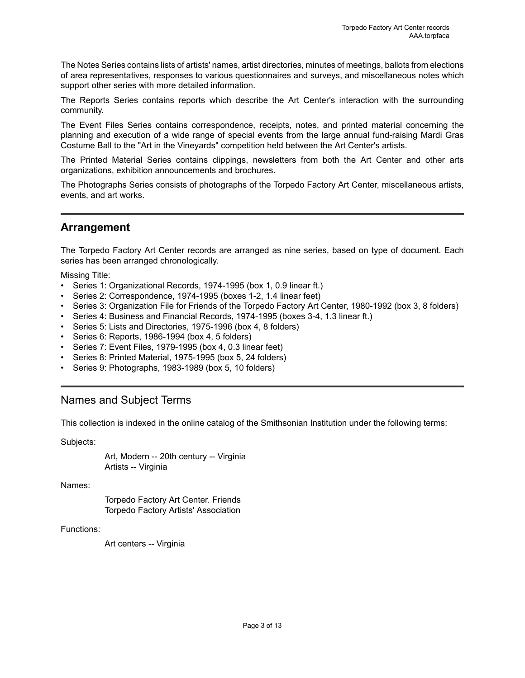The Notes Series contains lists of artists' names, artist directories, minutes of meetings, ballots from elections of area representatives, responses to various questionnaires and surveys, and miscellaneous notes which support other series with more detailed information.

The Reports Series contains reports which describe the Art Center's interaction with the surrounding community.

The Event Files Series contains correspondence, receipts, notes, and printed material concerning the planning and execution of a wide range of special events from the large annual fund-raising Mardi Gras Costume Ball to the "Art in the Vineyards" competition held between the Art Center's artists.

The Printed Material Series contains clippings, newsletters from both the Art Center and other arts organizations, exhibition announcements and brochures.

The Photographs Series consists of photographs of the Torpedo Factory Art Center, miscellaneous artists, events, and art works.

## <span id="page-4-0"></span>**Arrangement**

The Torpedo Factory Art Center records are arranged as nine series, based on type of document. Each series has been arranged chronologically.

Missing Title:

- Series 1: Organizational Records, 1974-1995 (box 1, 0.9 linear ft.)
- Series 2: Correspondence, 1974-1995 (boxes 1-2, 1.4 linear feet)
- Series 3: Organization File for Friends of the Torpedo Factory Art Center, 1980-1992 (box 3, 8 folders)
- Series 4: Business and Financial Records, 1974-1995 (boxes 3-4, 1.3 linear ft.)
- Series 5: Lists and Directories, 1975-1996 (box 4, 8 folders)
- Series 6: Reports, 1986-1994 (box 4, 5 folders)
- Series 7: Event Files, 1979-1995 (box 4, 0.3 linear feet)
- Series 8: Printed Material, 1975-1995 (box 5, 24 folders)
- Series 9: Photographs, 1983-1989 (box 5, 10 folders)

### <span id="page-4-1"></span>Names and Subject Terms

This collection is indexed in the online catalog of the Smithsonian Institution under the following terms:

Subjects:

Art, Modern -- 20th century -- Virginia Artists -- Virginia

Names:

Torpedo Factory Art Center. Friends Torpedo Factory Artists' Association

Functions:

Art centers -- Virginia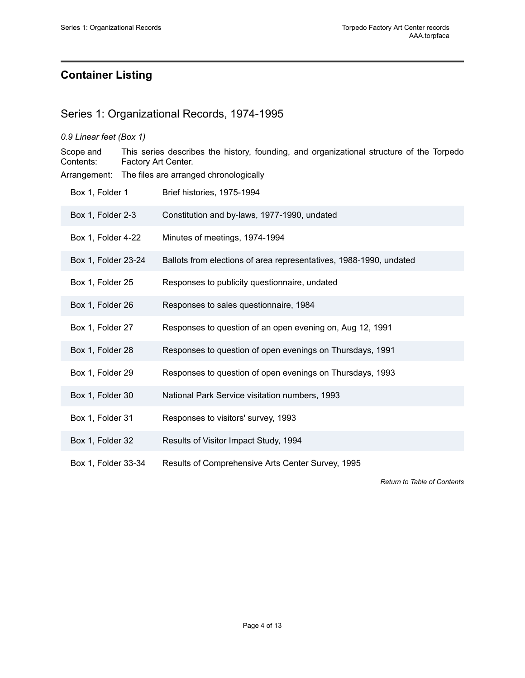# <span id="page-5-0"></span>**Container Listing**

# <span id="page-5-1"></span>Series 1: Organizational Records, 1974-1995

|                                                        | 0.9 Linear feet (Box 1)                                                                                         |                                                                    |  |  |
|--------------------------------------------------------|-----------------------------------------------------------------------------------------------------------------|--------------------------------------------------------------------|--|--|
| Scope and<br>Contents:                                 | This series describes the history, founding, and organizational structure of the Torpedo<br>Factory Art Center. |                                                                    |  |  |
| Arrangement:<br>The files are arranged chronologically |                                                                                                                 |                                                                    |  |  |
| Box 1, Folder 1                                        |                                                                                                                 | Brief histories, 1975-1994                                         |  |  |
| Box 1, Folder 2-3                                      |                                                                                                                 | Constitution and by-laws, 1977-1990, undated                       |  |  |
| Box 1, Folder 4-22                                     |                                                                                                                 | Minutes of meetings, 1974-1994                                     |  |  |
| Box 1, Folder 23-24                                    |                                                                                                                 | Ballots from elections of area representatives, 1988-1990, undated |  |  |
| Box 1, Folder 25                                       |                                                                                                                 | Responses to publicity questionnaire, undated                      |  |  |
| Box 1, Folder 26                                       |                                                                                                                 | Responses to sales questionnaire, 1984                             |  |  |
| Box 1, Folder 27                                       |                                                                                                                 | Responses to question of an open evening on, Aug 12, 1991          |  |  |
| Box 1, Folder 28                                       |                                                                                                                 | Responses to question of open evenings on Thursdays, 1991          |  |  |
| Box 1, Folder 29                                       |                                                                                                                 | Responses to question of open evenings on Thursdays, 1993          |  |  |
| Box 1, Folder 30                                       |                                                                                                                 | National Park Service visitation numbers, 1993                     |  |  |
| Box 1, Folder 31                                       |                                                                                                                 | Responses to visitors' survey, 1993                                |  |  |
| Box 1, Folder 32                                       |                                                                                                                 | Results of Visitor Impact Study, 1994                              |  |  |
| Box 1, Folder 33-34                                    |                                                                                                                 | Results of Comprehensive Arts Center Survey, 1995                  |  |  |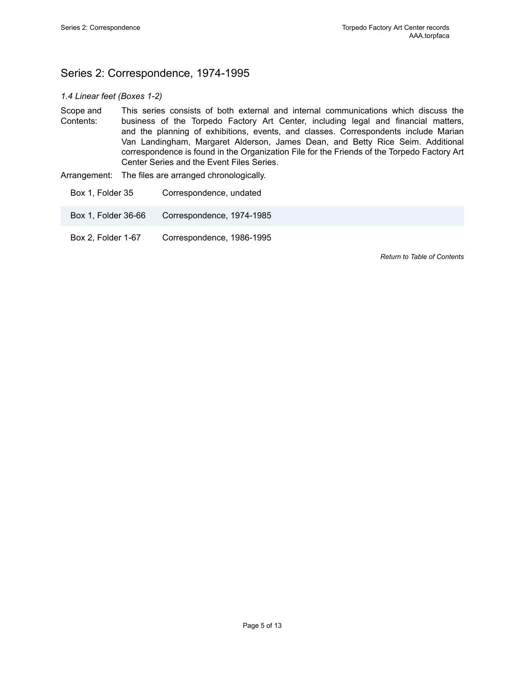# <span id="page-6-0"></span>Series 2: Correspondence, 1974-1995

#### *1.4 Linear feet (Boxes 1-2)*

- Scope and Contents: This series consists of both external and internal communications which discuss the business of the Torpedo Factory Art Center, including legal and financial matters, and the planning of exhibitions, events, and classes. Correspondents include Marian Van Landingham, Margaret Alderson, James Dean, and Betty Rice Seim. Additional correspondence is found in the Organization File for the Friends of the Torpedo Factory Art Center Series and the Event Files Series.
- Arrangement: The files are arranged chronologically.
	- Box 1, Folder 35 Correspondence, undated
	- Box 1, Folder 36-66 Correspondence, 1974-1985
	- Box 2, Folder 1-67 Correspondence, 1986-1995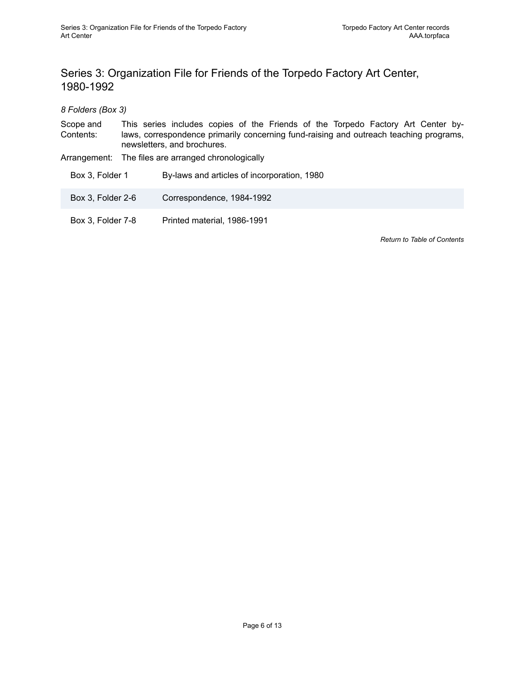# <span id="page-7-0"></span>Series 3: Organization File for Friends of the Torpedo Factory Art Center, 1980-1992

*8 Folders (Box 3)*

Scope and Contents: This series includes copies of the Friends of the Torpedo Factory Art Center bylaws, correspondence primarily concerning fund-raising and outreach teaching programs, newsletters, and brochures.

Arrangement: The files are arranged chronologically

Box 3, Folder 1 By-laws and articles of incorporation, 1980

- Box 3, Folder 2-6 Correspondence, 1984-1992
- Box 3, Folder 7-8 Printed material, 1986-1991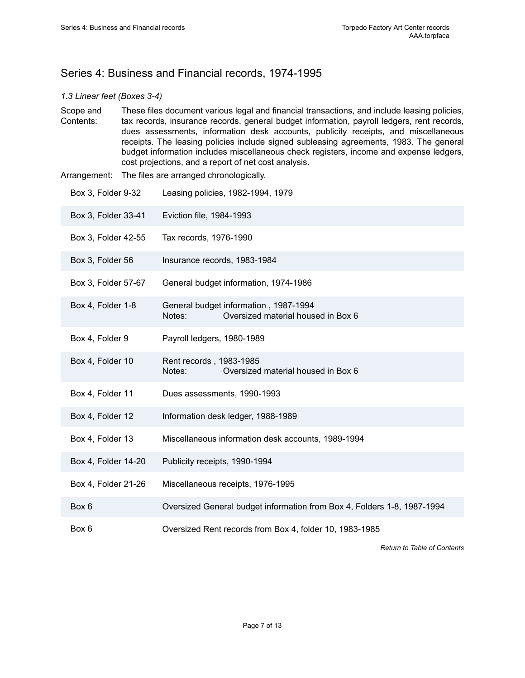# <span id="page-8-0"></span>Series 4: Business and Financial records, 1974-1995

#### *1.3 Linear feet (Boxes 3-4)*

- Scope and Contents: These files document various legal and financial transactions, and include leasing policies, tax records, insurance records, general budget information, payroll ledgers, rent records, dues assessments, information desk accounts, publicity receipts, and miscellaneous receipts. The leasing policies include signed subleasing agreements, 1983. The general budget information includes miscellaneous check registers, income and expense ledgers, cost projections, and a report of net cost analysis.
- Arrangement: The files are arranged chronologically.

| Box 3, Folder 9-32  | Leasing policies, 1982-1994, 1979                                                     |
|---------------------|---------------------------------------------------------------------------------------|
| Box 3, Folder 33-41 | Eviction file, 1984-1993                                                              |
| Box 3, Folder 42-55 | Tax records, 1976-1990                                                                |
| Box 3, Folder 56    | Insurance records, 1983-1984                                                          |
| Box 3, Folder 57-67 | General budget information, 1974-1986                                                 |
| Box 4, Folder 1-8   | General budget information, 1987-1994<br>Oversized material housed in Box 6<br>Notes: |
| Box 4, Folder 9     | Payroll ledgers, 1980-1989                                                            |
| Box 4, Folder 10    | Rent records, 1983-1985<br>Oversized material housed in Box 6<br>Notes:               |
| Box 4, Folder 11    | Dues assessments, 1990-1993                                                           |
| Box 4, Folder 12    | Information desk ledger, 1988-1989                                                    |
| Box 4, Folder 13    | Miscellaneous information desk accounts, 1989-1994                                    |
| Box 4, Folder 14-20 | Publicity receipts, 1990-1994                                                         |
| Box 4, Folder 21-26 | Miscellaneous receipts, 1976-1995                                                     |
| Box 6               | Oversized General budget information from Box 4, Folders 1-8, 1987-1994               |
| Box 6               | Oversized Rent records from Box 4, folder 10, 1983-1985                               |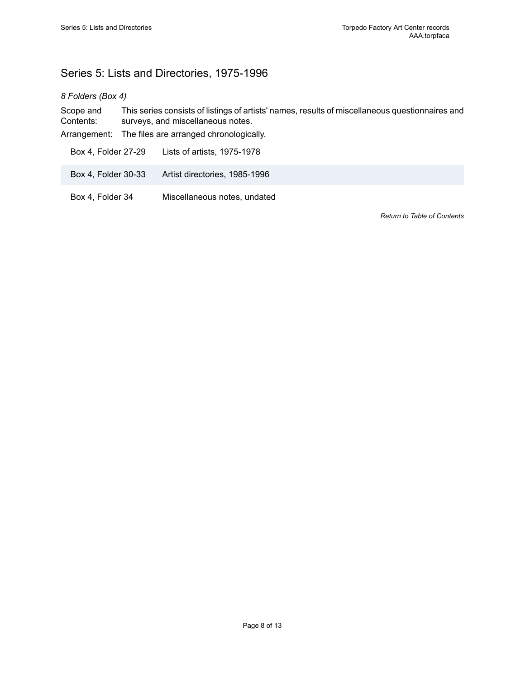# <span id="page-9-0"></span>Series 5: Lists and Directories, 1975-1996

#### *8 Folders (Box 4)*

Scope and Contents: This series consists of listings of artists' names, results of miscellaneous questionnaires and surveys, and miscellaneous notes.

Arrangement: The files are arranged chronologically.

Box 4, Folder 27-29 Lists of artists, 1975-1978

Box 4, Folder 30-33 Artist directories, 1985-1996

Box 4, Folder 34 Miscellaneous notes, undated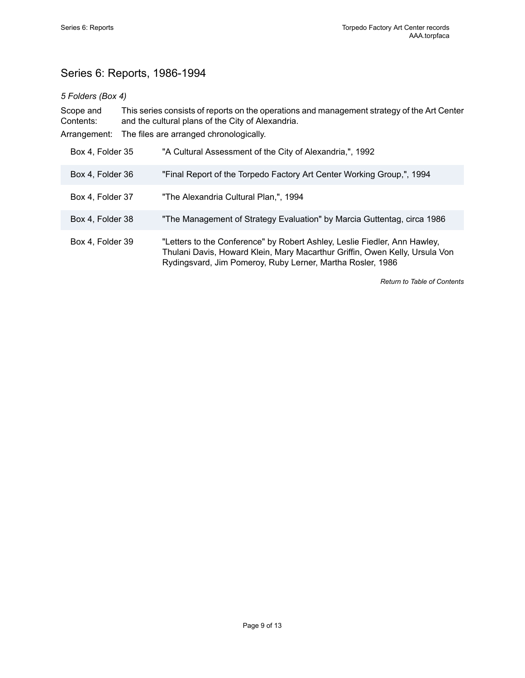# <span id="page-10-0"></span>Series 6: Reports, 1986-1994

#### *5 Folders (Box 4)*

Scope and Contents: This series consists of reports on the operations and management strategy of the Art Center and the cultural plans of the City of Alexandria. Arrangement: The files are arranged chronologically. Box 4, Folder 35 "A Cultural Assessment of the City of Alexandria,", 1992 Box 4, Folder 36 "Final Report of the Torpedo Factory Art Center Working Group,", 1994 Box 4, Folder 37 "The Alexandria Cultural Plan,", 1994 Box 4, Folder 38 "The Management of Strategy Evaluation" by Marcia Guttentag, circa 1986 Box 4, Folder 39 "Letters to the Conference" by Robert Ashley, Leslie Fiedler, Ann Hawley, Thulani Davis, Howard Klein, Mary Macarthur Griffin, Owen Kelly, Ursula Von Rydingsvard, Jim Pomeroy, Ruby Lerner, Martha Rosler, 1986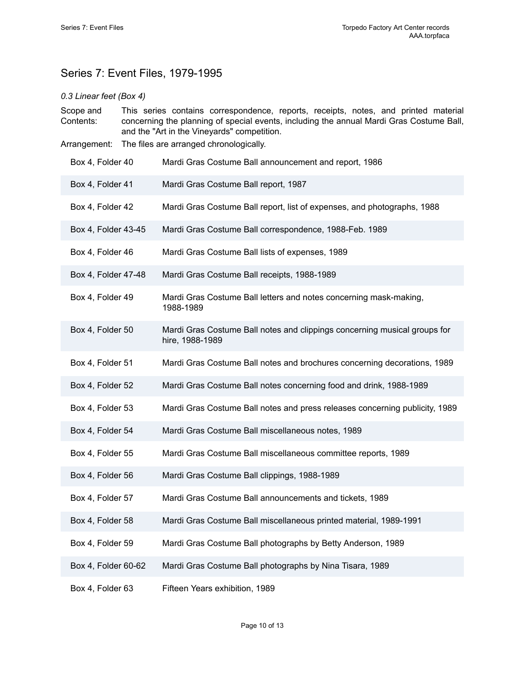# <span id="page-11-0"></span>Series 7: Event Files, 1979-1995

#### *0.3 Linear feet (Box 4)*

- Scope and Contents: This series contains correspondence, reports, receipts, notes, and printed material concerning the planning of special events, including the annual Mardi Gras Costume Ball, and the "Art in the Vineyards" competition.
- Arrangement: The files are arranged chronologically.
- Box 4, Folder 40 Mardi Gras Costume Ball announcement and report, 1986 Box 4, Folder 41 Mardi Gras Costume Ball report, 1987 Box 4, Folder 42 Mardi Gras Costume Ball report, list of expenses, and photographs, 1988 Box 4, Folder 43-45 Mardi Gras Costume Ball correspondence, 1988-Feb. 1989 Box 4, Folder 46 Mardi Gras Costume Ball lists of expenses, 1989 Box 4, Folder 47-48 Mardi Gras Costume Ball receipts, 1988-1989 Box 4, Folder 49 Mardi Gras Costume Ball letters and notes concerning mask-making, 1988-1989 Box 4, Folder 50 Mardi Gras Costume Ball notes and clippings concerning musical groups for hire, 1988-1989 Box 4, Folder 51 Mardi Gras Costume Ball notes and brochures concerning decorations, 1989 Box 4, Folder 52 Mardi Gras Costume Ball notes concerning food and drink, 1988-1989 Box 4, Folder 53 Mardi Gras Costume Ball notes and press releases concerning publicity, 1989 Box 4, Folder 54 Mardi Gras Costume Ball miscellaneous notes, 1989 Box 4, Folder 55 Mardi Gras Costume Ball miscellaneous committee reports, 1989 Box 4, Folder 56 Mardi Gras Costume Ball clippings, 1988-1989 Box 4, Folder 57 Mardi Gras Costume Ball announcements and tickets, 1989 Box 4, Folder 58 Mardi Gras Costume Ball miscellaneous printed material, 1989-1991 Box 4, Folder 59 Mardi Gras Costume Ball photographs by Betty Anderson, 1989 Box 4, Folder 60-62 Mardi Gras Costume Ball photographs by Nina Tisara, 1989 Box 4, Folder 63 Fifteen Years exhibition, 1989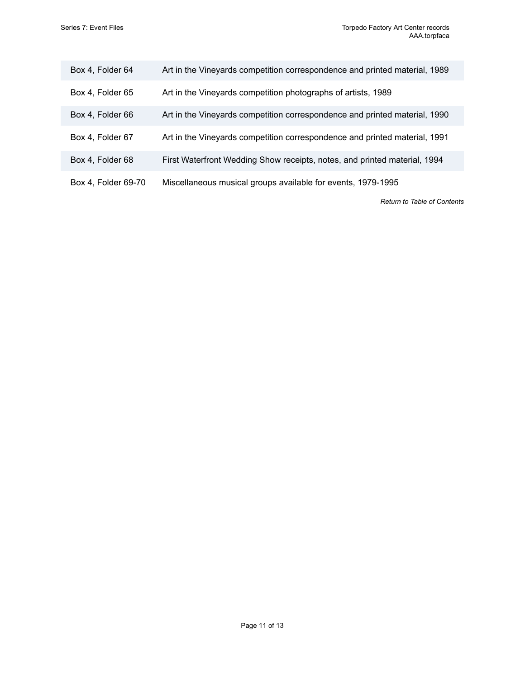| Box 4, Folder 64    | Art in the Vineyards competition correspondence and printed material, 1989 |
|---------------------|----------------------------------------------------------------------------|
| Box 4, Folder 65    | Art in the Vineyards competition photographs of artists, 1989              |
| Box 4, Folder 66    | Art in the Vineyards competition correspondence and printed material, 1990 |
| Box 4, Folder 67    | Art in the Vineyards competition correspondence and printed material, 1991 |
| Box 4, Folder 68    | First Waterfront Wedding Show receipts, notes, and printed material, 1994  |
| Box 4, Folder 69-70 | Miscellaneous musical groups available for events, 1979-1995               |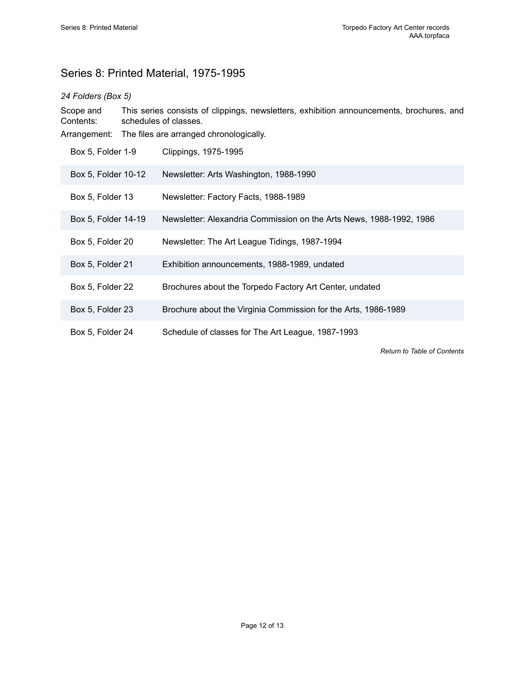# <span id="page-13-0"></span>Series 8: Printed Material, 1975-1995

#### *24 Folders (Box 5)*

Scope and Contents: This series consists of clippings, newsletters, exhibition announcements, brochures, and schedules of classes.

Arrangement: The files are arranged chronologically.

| Box 5, Folder 1-9   | Clippings, 1975-1995                                                |
|---------------------|---------------------------------------------------------------------|
| Box 5, Folder 10-12 | Newsletter: Arts Washington, 1988-1990                              |
| Box 5, Folder 13    | Newsletter: Factory Facts, 1988-1989                                |
| Box 5, Folder 14-19 | Newsletter: Alexandria Commission on the Arts News, 1988-1992, 1986 |
| Box 5, Folder 20    | Newsletter: The Art League Tidings, 1987-1994                       |
| Box 5, Folder 21    | Exhibition announcements, 1988-1989, undated                        |
| Box 5, Folder 22    | Brochures about the Torpedo Factory Art Center, undated             |
| Box 5, Folder 23    | Brochure about the Virginia Commission for the Arts, 1986-1989      |
| Box 5, Folder 24    | Schedule of classes for The Art League, 1987-1993                   |